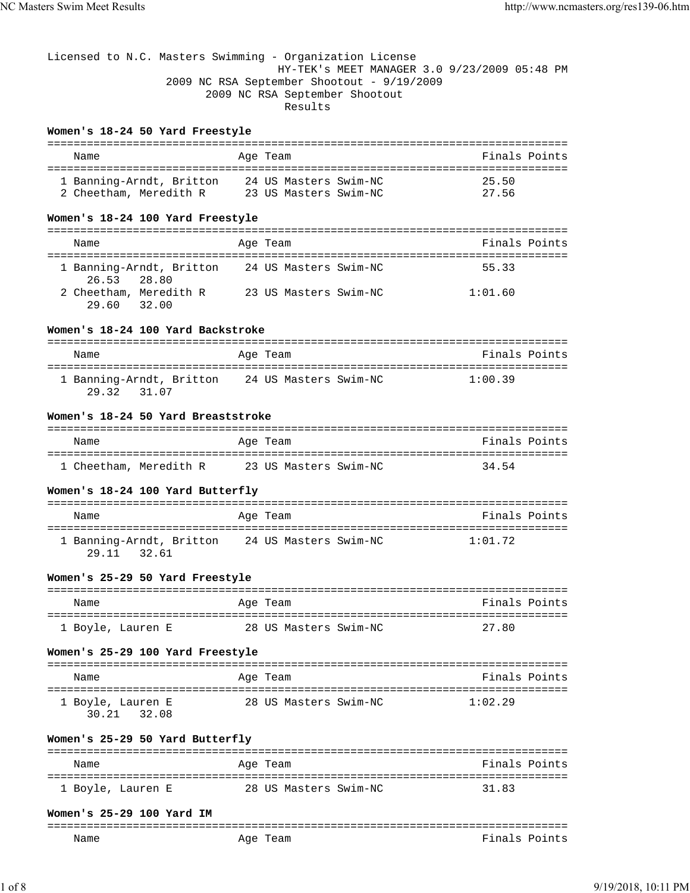# Licensed to N.C. Masters Swimming - Organization License HY-TEK's MEET MANAGER 3.0 9/23/2009 05:48 PM 2009 NC RSA September Shootout - 9/19/2009 2009 NC RSA September Shootout Results

## **Women's 18-24 50 Yard Freestyle**

| Name                     | Age Team              | Finals Points |
|--------------------------|-----------------------|---------------|
| 1 Banning-Arndt, Britton | 24 US Masters Swim-NC | 25.50         |
| 2 Cheetham, Meredith R   | 23 US Masters Swim-NC | 27.56         |

## **Women's 18-24 100 Yard Freestyle**

| Name                                    | Age Team              | Finals Points |
|-----------------------------------------|-----------------------|---------------|
| 1 Banning-Arndt, Britton<br>26.53 28.80 | 24 US Masters Swim-NC | 55.33         |
| 2 Cheetham, Meredith R<br>29.60 32.00   | 23 US Masters Swim-NC | 1:01.60       |

#### **Women's 18-24 100 Yard Backstroke**

| Name                                    | Age Team              | Finals Points |
|-----------------------------------------|-----------------------|---------------|
| 1 Banning-Arndt, Britton<br>29.32 31.07 | 24 US Masters Swim-NC | 1:00.39       |

#### **Women's 18-24 50 Yard Breaststroke**

| Name                   | Age Team              | Finals Points |
|------------------------|-----------------------|---------------|
| 1 Cheetham, Meredith R | 23 US Masters Swim-NC | 34 54         |
|                        |                       |               |

#### **Women's 18-24 100 Yard Butterfly**

| Name                                    | Age Team              | Finals Points |
|-----------------------------------------|-----------------------|---------------|
| 1 Banning-Arndt, Britton<br>29.11 32.61 | 24 US Masters Swim-NC | 1:01.72       |

#### **Women's 25-29 50 Yard Freestyle**

| Name              | Age Team              | Finals Points |
|-------------------|-----------------------|---------------|
| 1 Boyle, Lauren E | 28 US Masters Swim-NC | 27.80         |

#### **Women's 25-29 100 Yard Freestyle**

| Name                             | Age Team              | Finals Points |
|----------------------------------|-----------------------|---------------|
| 1 Boyle, Lauren E<br>30.21 32.08 | 28 US Masters Swim-NC | 1:02.29       |

## **Women's 25-29 50 Yard Butterfly**

| Name              | Age Team              | Finals Points |
|-------------------|-----------------------|---------------|
|                   |                       |               |
| 1 Boyle, Lauren E | 28 US Masters Swim-NC | 31 R3         |

#### **Women's 25-29 100 Yard IM**

| ----<br>______ |                          |                                                  |
|----------------|--------------------------|--------------------------------------------------|
| Name           | Aqe<br>'eam<br>___<br>__ | ™ina.<br>ı nt<br>$\overline{\phantom{0}}$<br>َ ص |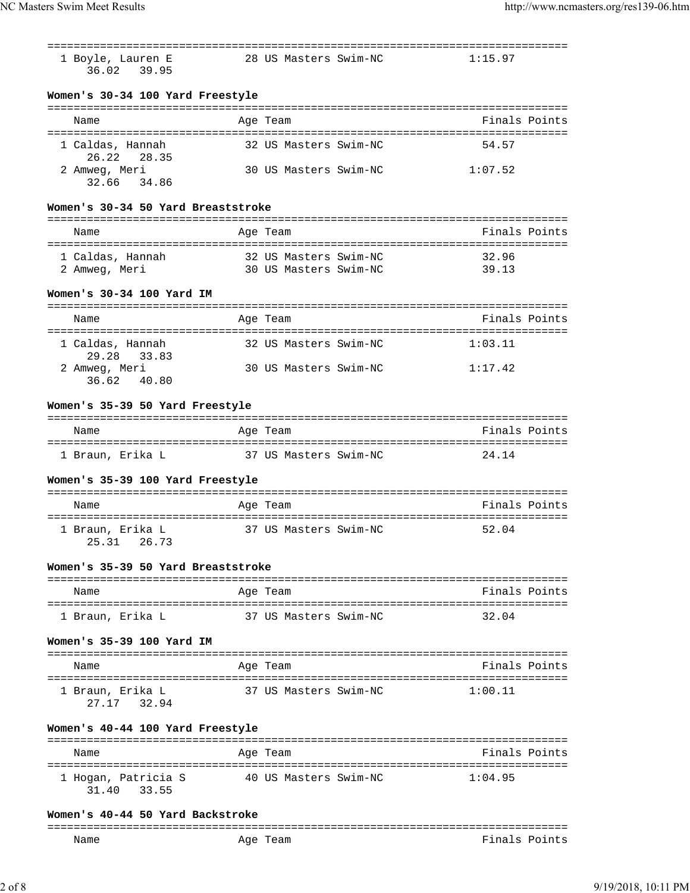| 1 Boyle, Lauren E                  | 28 US Masters Swim-NC | 1:15.97       |
|------------------------------------|-----------------------|---------------|
| 36.02 39.95                        |                       |               |
|                                    |                       |               |
| Women's 30-34 100 Yard Freestyle   |                       |               |
| Name                               | Age Team              | Finals Points |
|                                    |                       |               |
| 1 Caldas, Hannah                   | 32 US Masters Swim-NC | 54.57         |
| 26.22<br>28.35<br>2 Amweg, Meri    | 30 US Masters Swim-NC | 1:07.52       |
| 32.66 34.86                        |                       |               |
|                                    |                       |               |
| Women's 30-34 50 Yard Breaststroke |                       |               |
| Name                               | Age Team              | Finals Points |
|                                    |                       |               |
| 1 Caldas, Hannah                   | 32 US Masters Swim-NC | 32.96         |
| 2 Amweg, Meri                      | 30 US Masters Swim-NC | 39.13         |
| Women's 30-34 100 Yard IM          |                       |               |
|                                    |                       |               |
| Name                               | Age Team              | Finals Points |
|                                    |                       |               |
| 1 Caldas, Hannah<br>29.28 33.83    | 32 US Masters Swim-NC | 1:03.11       |
| 2 Amweg, Meri                      | 30 US Masters Swim-NC | 1:17.42       |
| 36.62 40.80                        |                       |               |
|                                    |                       |               |
| Women's 35-39 50 Yard Freestyle    |                       |               |
| Name                               | Age Team              | Finals Points |
|                                    |                       |               |
| 1 Braun, Erika L                   | 37 US Masters Swim-NC | 24.14         |
| Women's 35-39 100 Yard Freestyle   |                       |               |
|                                    |                       |               |
| Name                               | Age Team              | Finals Points |
|                                    |                       | 52.04         |
| 1 Braun, Erika L<br>25.31 26.73    | 37 US Masters Swim-NC |               |
|                                    |                       |               |
| Women's 35-39 50 Yard Breaststroke |                       |               |
|                                    |                       | Finals Points |
| Name                               | Age Team              |               |
| 1 Braun, Erika L                   | 37 US Masters Swim-NC | 32.04         |
|                                    |                       |               |
| Women's 35-39 100 Yard IM          |                       |               |
| Name                               | Age Team              | Finals Points |
|                                    |                       |               |
| 1 Braun, Erika L                   | 37 US Masters Swim-NC | 1:00.11       |
| 27.17 32.94                        |                       |               |
|                                    |                       |               |
|                                    |                       |               |
| Women's 40-44 100 Yard Freestyle   |                       |               |
| Name                               | Age Team              | Finals Points |
|                                    |                       |               |
| 1 Hogan, Patricia S<br>31.40 33.55 | 40 US Masters Swim-NC | 1:04.95       |
|                                    |                       |               |
| Women's 40-44 50 Yard Backstroke   |                       |               |

Name **Age Team** Age Team Finals Points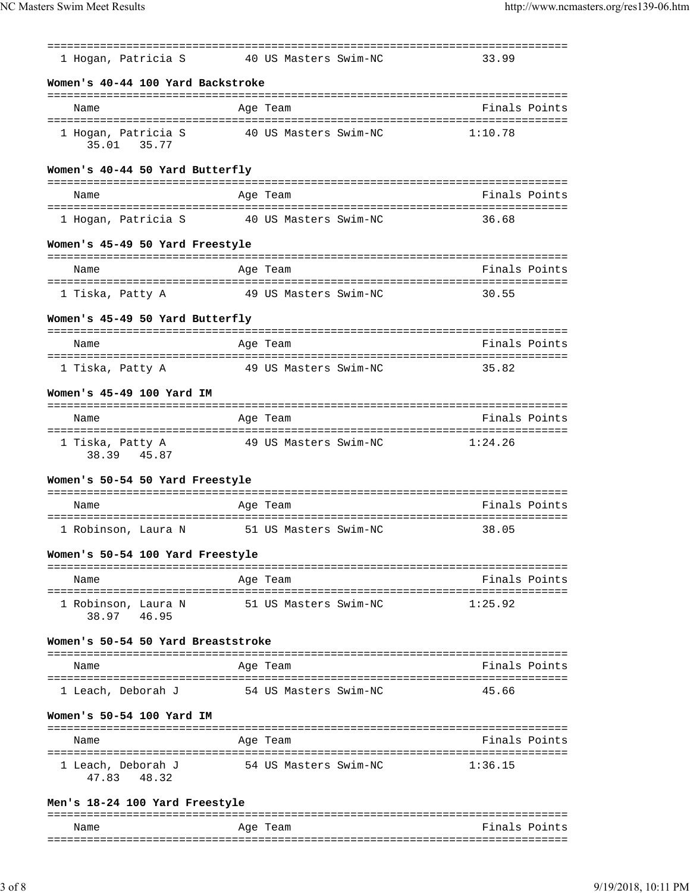| 1 Hogan, Patricia S                  | 40 US Masters Swim-NC      | 33.99                                             |
|--------------------------------------|----------------------------|---------------------------------------------------|
| Women's 40-44 100 Yard Backstroke    |                            |                                                   |
| Name                                 | Age Team                   | Finals Points                                     |
| 1 Hogan, Patricia S<br>35.01 35.77   | 40 US Masters Swim-NC      | 1:10.78                                           |
| Women's 40-44 50 Yard Butterfly      |                            |                                                   |
| Name                                 | Age Team                   | Finals Points                                     |
| 1 Hogan, Patricia S                  | 40 US Masters Swim-NC      | 36.68                                             |
| Women's 45-49 50 Yard Freestyle      |                            |                                                   |
| Name                                 | ==============<br>Age Team | Finals Points                                     |
| 1 Tiska, Patty A                     | 49 US Masters Swim-NC      | 30.55                                             |
| Women's 45-49 50 Yard Butterfly      |                            |                                                   |
| Name                                 | Age Team                   | Finals Points                                     |
| 1 Tiska, Patty A                     | 49 US Masters Swim-NC      | 35.82                                             |
| Women's 45-49 100 Yard IM            |                            |                                                   |
| Name                                 | ==============<br>Age Team | ================================<br>Finals Points |
| 1 Tiska, Patty A<br>38.39 45.87      | 49 US Masters Swim-NC      | 1:24.26                                           |
| Women's 50-54 50 Yard Freestyle      |                            |                                                   |
| Name                                 | Age Team                   | Finals Points                                     |
| 1 Robinson, Laura N                  | 51 US Masters Swim-NC      | 38.05                                             |
| Women's 50-54 100 Yard Freestyle     |                            |                                                   |
| Name                                 | Age Team                   | Finals Points                                     |
| 1 Robinson, Laura N<br>38.97 46.95   | 51 US Masters Swim-NC      | 1:25.92                                           |
| Women's 50-54 50 Yard Breaststroke   |                            |                                                   |
| Name                                 | Age Team                   | Finals Points                                     |
| 1 Leach, Deborah J                   | 54 US Masters Swim-NC      | 45.66                                             |
| Women's 50-54 100 Yard IM            |                            |                                                   |
| Name                                 | Age Team                   | Finals Points                                     |
| 1 Leach, Deborah J<br>48.32<br>47.83 | 54 US Masters Swim-NC      | 1:36.15                                           |
| Men's 18-24 100 Yard Freestyle       |                            |                                                   |
| Name                                 | Age Team                   | Finals Points                                     |

===============================================================================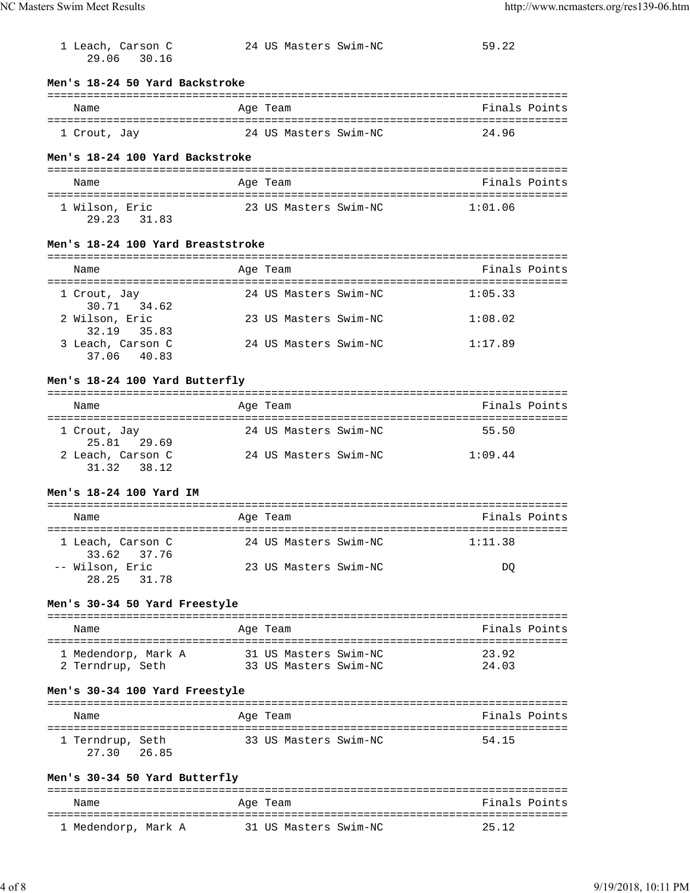| 1 Leach, Carson C<br>29.06 30.16                    | 24 US Masters Swim-NC                          | 59.22          |
|-----------------------------------------------------|------------------------------------------------|----------------|
| Men's 18-24 50 Yard Backstroke                      |                                                |                |
| Name                                                | Age Team                                       | Finals Points  |
| 1 Crout, Jay                                        | 24 US Masters Swim-NC                          | 24.96          |
| Men's 18-24 100 Yard Backstroke                     |                                                |                |
| Name                                                | Age Team                                       | Finals Points  |
| 1 Wilson, Eric<br>29.23 31.83                       | 23 US Masters Swim-NC                          | 1:01.06        |
| Men's 18-24 100 Yard Breaststroke                   |                                                |                |
| Name                                                | Age Team                                       | Finals Points  |
|                                                     |                                                |                |
| 1 Crout, Jay<br>30.71 34.62                         | 24 US Masters Swim-NC                          | 1:05.33        |
| 2 Wilson, Eric<br>32.19 35.83                       | 23 US Masters Swim-NC                          | 1:08.02        |
| 3 Leach, Carson C<br>37.06 40.83                    | 24 US Masters Swim-NC                          | 1:17.89        |
| Men's 18-24 100 Yard Butterfly                      |                                                |                |
| Name                                                | Age Team                                       | Finals Points  |
| 1 Crout, Jay<br>25.81 29.69                         | 24 US Masters Swim-NC                          | 55.50          |
| 2 Leach, Carson C<br>31.32 38.12                    | 24 US Masters Swim-NC                          | 1:09.44        |
| Men's 18-24 100 Yard IM                             |                                                |                |
| Name                                                | Age Team                                       | Finals Points  |
| 1 Leach, Carson C                                   | 24 US Masters Swim-NC                          | 1:11.38        |
| 33.62<br>37.76<br>-- Wilson, Eric<br>31.78<br>28.25 | 23 US Masters Swim-NC                          | DQ             |
| Men's 30-34 50 Yard Freestyle                       |                                                |                |
| Name                                                | Age Team                                       | Finals Points  |
|                                                     |                                                |                |
|                                                     |                                                |                |
| 1 Medendorp, Mark A<br>2 Terndrup, Seth             | 31 US Masters Swim-NC<br>33 US Masters Swim-NC | 23.92<br>24.03 |
| Men's 30-34 100 Yard Freestyle                      |                                                |                |
| Name                                                | Age Team                                       | Finals Points  |
| 1 Terndrup, Seth<br>26.85<br>27.30                  | 33 US Masters Swim-NC                          | 54.15          |
| Men's 30-34 50 Yard Butterfly                       |                                                |                |
| Name                                                | Age Team                                       | Finals Points  |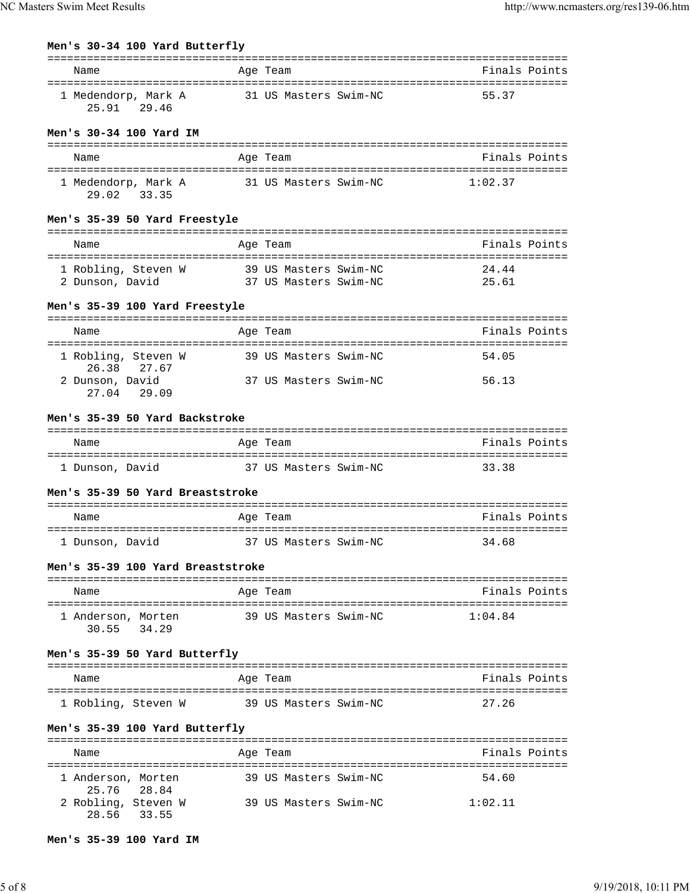| Name                                                 | Age Team                                       | Finals Points            |
|------------------------------------------------------|------------------------------------------------|--------------------------|
| 1 Medendorp, Mark A<br>25.91 29.46                   | 31 US Masters Swim-NC                          | 55.37                    |
| Men's 30-34 100 Yard IM                              |                                                |                          |
| Name                                                 | Age Team                                       | Finals Points            |
| 1 Medendorp, Mark A<br>29.02 33.35                   | 31 US Masters Swim-NC                          | 1:02.37                  |
| Men's 35-39 50 Yard Freestyle                        |                                                |                          |
| Name                                                 | Age Team                                       | Finals Points            |
| 1 Robling, Steven W<br>2 Dunson, David               | 39 US Masters Swim-NC<br>37 US Masters Swim-NC | 24.44<br>25.61           |
| Men's 35-39 100 Yard Freestyle                       |                                                |                          |
| Name                                                 | Age Team                                       | Finals Points            |
| 1 Robling, Steven W<br>26.38 27.67                   | 39 US Masters Swim-NC                          | 54.05                    |
| 2 Dunson, David<br>27.04 29.09                       | 37 US Masters Swim-NC                          | 56.13                    |
| Men's 35-39 50 Yard Backstroke                       |                                                |                          |
| Name                                                 | Age Team                                       | Finals Points            |
|                                                      | 37 US Masters Swim-NC                          |                          |
| 1 Dunson, David                                      |                                                | 33.38                    |
| Men's 35-39 50 Yard Breaststroke                     |                                                |                          |
| Name                                                 | Age Team                                       |                          |
| 1 Dunson, David                                      | 37 US Masters Swim-NC                          | Finals Points<br>34.68   |
| Men's 35-39 100 Yard Breaststroke                    |                                                |                          |
| Name                                                 | Age Team                                       |                          |
| 1 Anderson, Morten<br>30.55 34.29                    | 39 US Masters Swim-NC                          | Finals Points<br>1:04.84 |
|                                                      |                                                |                          |
| Name                                                 | Age Team                                       |                          |
| Men's 35-39 50 Yard Butterfly<br>1 Robling, Steven W | 39 US Masters Swim-NC                          | Finals Points<br>27.26   |
| Men's 35-39 100 Yard Butterfly                       |                                                |                          |
| Name                                                 | Age Team                                       | Finals Points            |
| 1 Anderson, Morten<br>25.76 28.84                    | 39 US Masters Swim-NC                          | 54.60                    |

```
Men's 35-39 100 Yard IM
```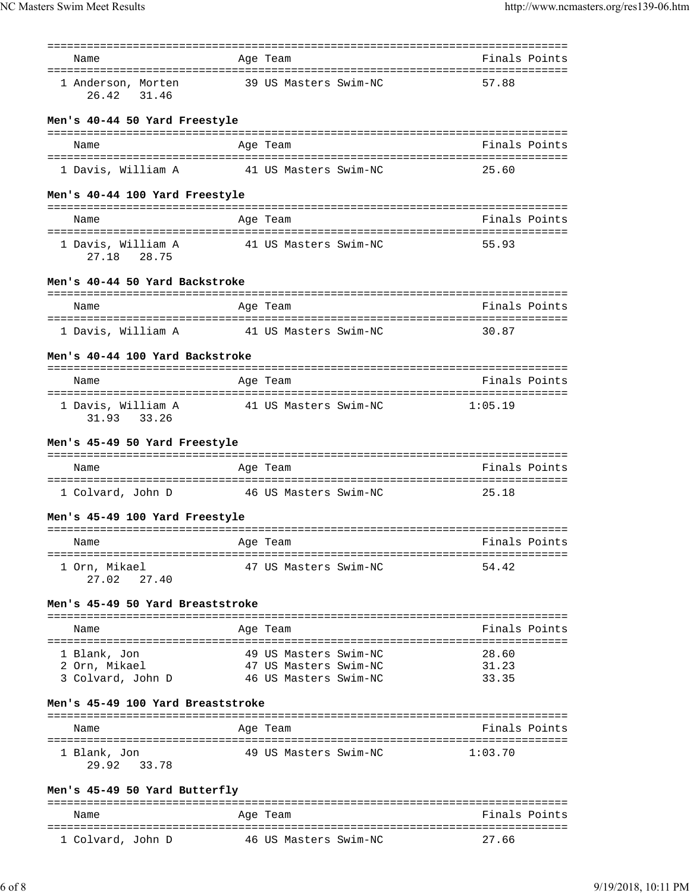| Name                              | ==========<br>Age Team    | =====================================<br>Finals Points |
|-----------------------------------|---------------------------|--------------------------------------------------------|
|                                   |                           |                                                        |
| 1 Anderson, Morten<br>26.42 31.46 | 39 US Masters Swim-NC     | 57.88                                                  |
| Men's 40-44 50 Yard Freestyle     |                           |                                                        |
| Name                              | Age Team                  | Finals Points                                          |
| 1 Davis, William A                | 41 US Masters Swim-NC     | 25.60                                                  |
| Men's 40-44 100 Yard Freestyle    |                           |                                                        |
| Name                              | =============<br>Age Team | Finals Points                                          |
| 1 Davis, William A<br>27.18 28.75 | 41 US Masters Swim-NC     | 55.93                                                  |
| Men's 40-44 50 Yard Backstroke    |                           |                                                        |
| Name                              | Age Team                  | Finals Points                                          |
| 1 Davis, William A                | 41 US Masters Swim-NC     | 30.87                                                  |
| Men's 40-44 100 Yard Backstroke   |                           |                                                        |
| Name                              | Age Team                  | Finals Points                                          |
| 1 Davis, William A<br>31.93 33.26 | 41 US Masters Swim-NC     | 1:05.19                                                |
| Men's 45-49 50 Yard Freestyle     |                           |                                                        |
| Name                              | Age Team                  | Finals Points                                          |
| 1 Colvard, John D                 | 46 US Masters Swim-NC     | 25.18                                                  |
| Men's 45-49 100 Yard Freestyle    |                           |                                                        |
| Name                              | Age Team                  | Finals Points                                          |
| 1 Orn, Mikael                     | 47 US Masters Swim-NC     | 54.42                                                  |
| 27.02<br>27.40                    |                           |                                                        |
| Men's 45-49 50 Yard Breaststroke  |                           |                                                        |
| Name                              | Age Team                  | Finals Points                                          |
| 1 Blank, Jon                      | 49 US Masters Swim-NC     | 28.60                                                  |
| 2 Orn, Mikael                     | 47 US Masters Swim-NC     | 31.23                                                  |
| 3 Colvard, John D                 | 46 US Masters Swim-NC     | 33.35                                                  |
| Men's 45-49 100 Yard Breaststroke |                           |                                                        |
| Name                              | Age Team                  | Finals Points                                          |
|                                   |                           |                                                        |
| 1 Blank, Jon<br>29.92<br>33.78    | 49 US Masters Swim-NC     | 1:03.70                                                |
| Men's 45-49 50 Yard Butterfly     |                           |                                                        |
| Name                              | Age Team                  | Finals Points                                          |
| 1 Colvard, John D                 | 46 US Masters Swim-NC     | 27.66                                                  |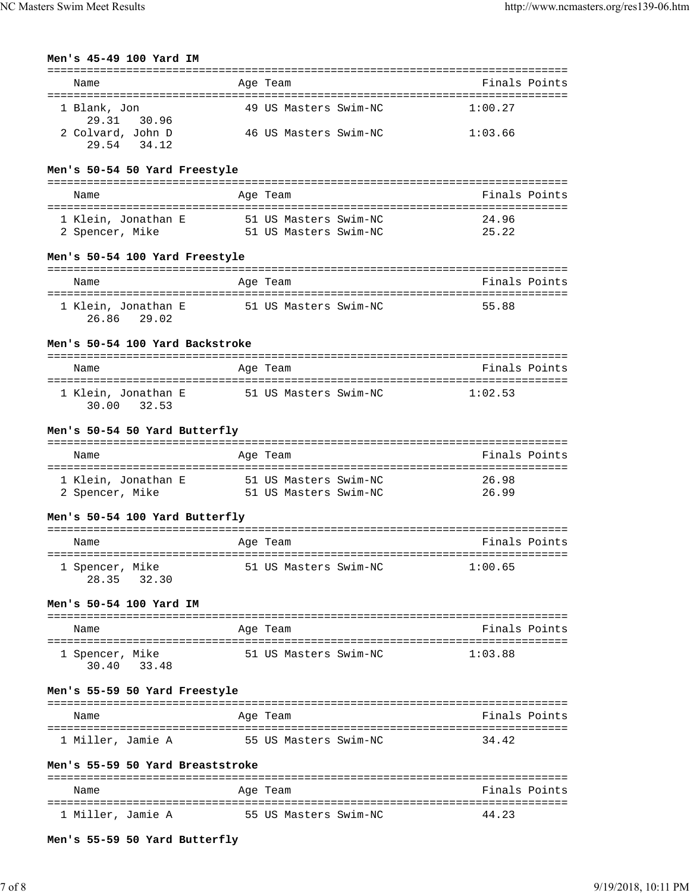| Men's 45-49 100 Yard IM                            |                                                | ----------------------                         |
|----------------------------------------------------|------------------------------------------------|------------------------------------------------|
| Name<br>---------------------                      | Age Team                                       | Finals Points                                  |
| 1 Blank, Jon                                       | 49 US Masters Swim-NC                          | ===================================<br>1:00.27 |
| 29.31<br>30.96<br>2 Colvard, John D<br>29.54 34.12 | 46 US Masters Swim-NC                          | 1:03.66                                        |
| Men's 50-54 50 Yard Freestyle                      |                                                |                                                |
| Name                                               | Age Team                                       | Finals Points                                  |
| 1 Klein, Jonathan E<br>2 Spencer, Mike             | 51 US Masters Swim-NC<br>51 US Masters Swim-NC | 24.96<br>25.22                                 |
| Men's 50-54 100 Yard Freestyle                     |                                                |                                                |
| Name                                               | Age Team                                       | Finals Points                                  |
| 1 Klein, Jonathan E<br>26.86 29.02                 | 51 US Masters Swim-NC                          | 55.88                                          |
| Men's 50-54 100 Yard Backstroke                    |                                                |                                                |
| Name                                               | Age Team                                       | Finals Points                                  |
| 1 Klein, Jonathan E<br>30.00<br>32.53              | 51 US Masters Swim-NC                          | 1:02.53                                        |
| Men's 50-54 50 Yard Butterfly                      |                                                |                                                |
| Name                                               | Age Team                                       | Finals Points                                  |
| 1 Klein, Jonathan E<br>2 Spencer, Mike             | 51 US Masters Swim-NC<br>51 US Masters Swim-NC | 26.98<br>26.99                                 |
| Men's 50-54 100 Yard Butterfly                     |                                                |                                                |
| Name                                               | Age Team                                       | Finals Points                                  |
| 1 Spencer, Mike<br>28.35 32.30                     | 51 US Masters Swim-NC                          | 1:00.65                                        |
| Men's 50-54 100 Yard IM                            |                                                |                                                |
| Name                                               | Age Team                                       | Finals Points                                  |
| 1 Spencer, Mike<br>30.40 33.48                     | 51 US Masters Swim-NC                          | 1:03.88                                        |
| Men's 55-59 50 Yard Freestyle                      |                                                |                                                |
| Name                                               | Age Team                                       | Finals Points                                  |
| 1 Miller, Jamie A                                  | 55 US Masters Swim-NC                          | 34.42                                          |
| Men's 55-59 50 Yard Breaststroke                   |                                                |                                                |
| Name                                               | Age Team                                       | Finals Points                                  |
| 1 Miller, Jamie A                                  | 55 US Masters Swim-NC                          | 44.23                                          |
| Men's 55-59 50 Yard Butterfly                      |                                                |                                                |